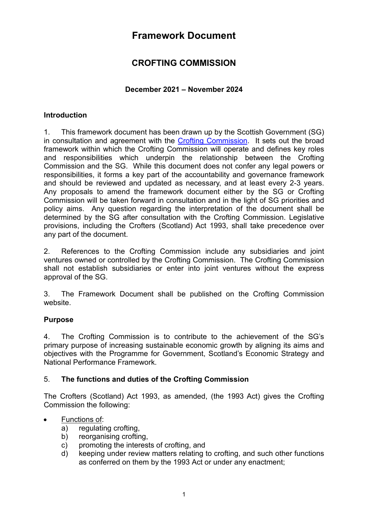# **Framework Document**

# **CROFTING COMMISSION**

# **December 2021 – November 2024**

## **Introduction**

1. This framework document has been drawn up by the Scottish Government (SG) in consultation and agreement with the Crofting [Commission.](http://www.crofting.scotland.gov.uk/) It sets out the broad framework within which the Crofting Commission will operate and defines key roles and responsibilities which underpin the relationship between the Crofting Commission and the SG. While this document does not confer any legal powers or responsibilities, it forms a key part of the accountability and governance framework and should be reviewed and updated as necessary, and at least every 2-3 years. Any proposals to amend the framework document either by the SG or Crofting Commission will be taken forward in consultation and in the light of SG priorities and policy aims. Any question regarding the interpretation of the document shall be determined by the SG after consultation with the Crofting Commission. Legislative provisions, including the Crofters (Scotland) Act 1993, shall take precedence over any part of the document.

2. References to the Crofting Commission include any subsidiaries and joint ventures owned or controlled by the Crofting Commission. The Crofting Commission shall not establish subsidiaries or enter into joint ventures without the express approval of the SG.

3. The Framework Document shall be published on the Crofting Commission website.

## **Purpose**

4. The Crofting Commission is to contribute to the achievement of the SG's primary purpose of increasing sustainable economic growth by aligning its aims and objectives with the Programme for Government, Scotland's Economic Strategy and National Performance Framework.

## 5. **The functions and duties of the Crofting Commission**

The Crofters (Scotland) Act 1993, as amended, (the 1993 Act) gives the Crofting Commission the following:

## • Functions of:

- a) regulating crofting,
- b) reorganising crofting.
- c) promoting the interests of crofting, and
- d) keeping under review matters relating to crofting, and such other functions as conferred on them by the 1993 Act or under any enactment;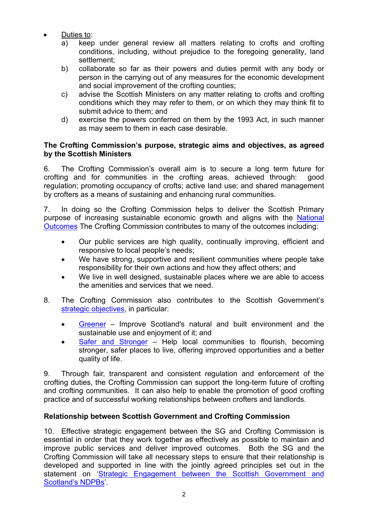- Duties to:
	- a) keep under general review all matters relating to crofts and crofting conditions, including, without prejudice to the foregoing generality, land settlement;
	- b) collaborate so far as their powers and duties permit with any body or person in the carrying out of any measures for the economic development and social improvement of the crofting counties;
	- c) advise the Scottish Ministers on any matter relating to crofts and crofting conditions which they may refer to them, or on which they may think fit to submit advice to them; and
	- d) exercise the powers conferred on them by the 1993 Act, in such manner as may seem to them in each case desirable.

## **The Crofting Commission's purpose, strategic aims and objectives, as agreed by the Scottish Ministers**

6. The Crofting Commission's overall aim is to secure a long term future for crofting and for communities in the crofting areas, achieved through: good regulation; promoting occupancy of crofts; active land use; and shared management by crofters as a means of sustaining and enhancing rural communities.

7. In doing so the Crofting Commission helps to deliver the Scottish Primary purpose of increasing sustainable economic growth and aligns with the [National](http://www.gov.scot/About/Performance/scotPerforms/outcome)  [Outcomes](http://www.gov.scot/About/Performance/scotPerforms/outcome) The Crofting Commission contributes to many of the outcomes including:

- Our public services are high quality, continually improving, efficient and responsive to local people's needs;
- We have strong, supportive and resilient communities where people take responsibility for their own actions and how they affect others; and
- We live in well designed, sustainable places where we are able to access the amenities and services that we need.
- 8. The Crofting Commission also contributes to the Scottish Government's [strategic objectives,](http://www.gov.scot/About/Performance/scotPerforms/objectives) in particular:
	- [Greener](http://www.gov.scot/About/scotPerforms/objectives/greener) Improve Scotland's natural and built environment and the sustainable use and enjoyment of it; and
	- [Safer and Stronger](http://www.gov.scot/About/scotPerforms/objectives/safeAndStronger) Help local communities to flourish, becoming stronger, safer places to live, offering improved opportunities and a better quality of life.

9. Through fair, transparent and consistent regulation and enforcement of the crofting duties, the Crofting Commission can support the long-term future of crofting and crofting communities. It can also help to enable the promotion of good crofting practice and of successful working relationships between crofters and landlords.

# **Relationship between Scottish Government and Crofting Commission**

10. Effective strategic engagement between the SG and Crofting Commission is essential in order that they work together as effectively as possible to maintain and improve public services and deliver improved outcomes. Both the SG and the Crofting Commission will take all necessary steps to ensure that their relationship is developed and supported in line with the jointly agreed principles set out in the statement on ['Strategic Engagement between the Scottish Government and](http://www.gov.scot/Topics/Government/public-bodies/pubs/StrategicEngagement)  [Scotland's NDPBs'](http://www.gov.scot/Topics/Government/public-bodies/pubs/StrategicEngagement).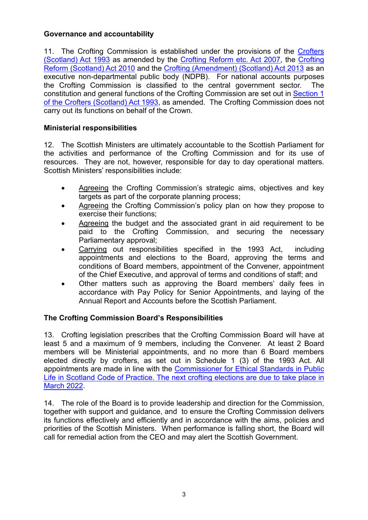# **Governance and accountability**

11. The Crofting Commission is established under the provisions of the Crofters [\(Scotland\) Act 1993](http://www.legislation.gov.uk/ukpga/1993/44/contents) as amended by the [Crofting Reform etc. Act 2007,](http://www.legislation.gov.uk/asp/2007/7/contents) the [Crofting](http://www.legislation.gov.uk/asp/2010/14/contents)  [Reform \(Scotland\) Act 2010](http://www.legislation.gov.uk/asp/2010/14/contents) and the [Crofting \(Amendment\) \(Scotland\) Act 2013](http://www.legislation.gov.uk/asp/2013/10/contents) as an executive non-departmental public body (NDPB). For national accounts purposes the Crofting Commission is classified to the central government sector. The constitution and general functions of the Crofting Commission are set out in [Section 1](http://www.legislation.gov.uk/ukpga/1993/44/schedule/1)  [of the Crofters \(Scotland\) Act 1993,](http://www.legislation.gov.uk/ukpga/1993/44/schedule/1) as amended. The Crofting Commission does not carry out its functions on behalf of the Crown.

# **Ministerial responsibilities**

12. The Scottish Ministers are ultimately accountable to the Scottish Parliament for the activities and performance of the Crofting Commission and for its use of resources. They are not, however, responsible for day to day operational matters. Scottish Ministers' responsibilities include:

- Agreeing the Crofting Commission's strategic aims, objectives and key targets as part of the corporate planning process;
- Agreeing the Crofting Commission's policy plan on how they propose to exercise their functions;
- Agreeing the budget and the associated grant in aid requirement to be paid to the Crofting Commission, and securing the necessary Parliamentary approval;
- Carrying out responsibilities specified in the 1993 Act, including appointments and elections to the Board, approving the terms and conditions of Board members, appointment of the Convener, appointment of the Chief Executive, and approval of terms and conditions of staff; and
- Other matters such as approving the Board members' daily fees in accordance with Pay Policy for Senior Appointments, and laying of the Annual Report and Accounts before the Scottish Parliament.

## **The Crofting Commission Board's Responsibilities**

13. Crofting legislation prescribes that the Crofting Commission Board will have at least 5 and a maximum of 9 members, including the Convener. At least 2 Board members will be Ministerial appointments, and no more than 6 Board members elected directly by crofters, as set out in Schedule 1 (3) of the 1993 Act. All appointments are made in line with the [Commissioner for Ethical Standards in Public](http://www.publicappointments.org/publications/publication/222/2013-code-of-practice-for-ministerial-appointments-to-public-bodies-in-scotland)  Life in Scotland [Code of Practice.](http://www.publicappointments.org/publications/publication/222/2013-code-of-practice-for-ministerial-appointments-to-public-bodies-in-scotland) The next crofting elections are due to take place in March 2022.

14. The role of the Board is to provide leadership and direction for the Commission, together with support and guidance, and to ensure the Crofting Commission delivers its functions effectively and efficiently and in accordance with the aims, policies and priorities of the Scottish Ministers. When performance is falling short, the Board will call for remedial action from the CEO and may alert the Scottish Government.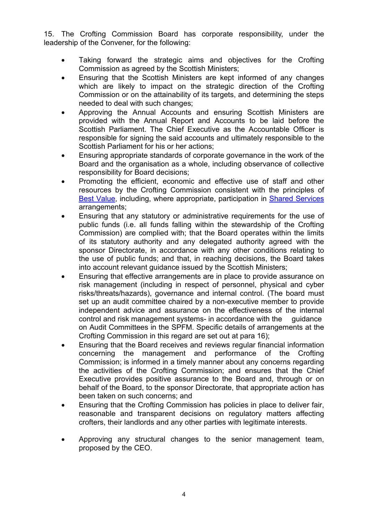15. The Crofting Commission Board has corporate responsibility, under the leadership of the Convener, for the following:

- Taking forward the strategic aims and objectives for the Crofting Commission as agreed by the Scottish Ministers;
- Ensuring that the Scottish Ministers are kept informed of any changes which are likely to impact on the strategic direction of the Crofting Commission or on the attainability of its targets, and determining the steps needed to deal with such changes;
- Approving the Annual Accounts and ensuring Scottish Ministers are provided with the Annual Report and Accounts to be laid before the Scottish Parliament. The Chief Executive as the Accountable Officer is responsible for signing the said accounts and ultimately responsible to the Scottish Parliament for his or her actions;
- Ensuring appropriate standards of corporate governance in the work of the Board and the organisation as a whole, including observance of collective responsibility for Board decisions;
- Promoting the efficient, economic and effective use of staff and other resources by the Crofting Commission consistent with the principles of [Best Value,](http://www.gov.scot/Topics/Government/Finance/spfm/BestValue) including, where appropriate, participation in [Shared Services](http://www.gov.scot/Topics/Government/PublicServiceReform/efficientgovernment/SharedServicesDecemberPDF) arrangements;
- Ensuring that any statutory or administrative requirements for the use of public funds (i.e. all funds falling within the stewardship of the Crofting Commission) are complied with; that the Board operates within the limits of its statutory authority and any delegated authority agreed with the sponsor Directorate, in accordance with any other conditions relating to the use of public funds; and that, in reaching decisions, the Board takes into account relevant guidance issued by the Scottish Ministers;
- Ensuring that effective arrangements are in place to provide assurance on risk management (including in respect of personnel, physical and cyber risks/threats/hazards), governance and internal control. (The board must set up an audit committee chaired by a non-executive member to provide independent advice and assurance on the effectiveness of the internal control and risk management systems- in accordance with the guidance on Audit Committees in the SPFM. Specific details of arrangements at the Crofting Commission in this regard are set out at para 16);
- Ensuring that the Board receives and reviews regular financial information concerning the management and performance of the Crofting Commission; is informed in a timely manner about any concerns regarding the activities of the Crofting Commission; and ensures that the Chief Executive provides positive assurance to the Board and, through or on behalf of the Board, to the sponsor Directorate, that appropriate action has been taken on such concerns; and
- Ensuring that the Crofting Commission has policies in place to deliver fair, reasonable and transparent decisions on regulatory matters affecting crofters, their landlords and any other parties with legitimate interests.
- Approving any structural changes to the senior management team, proposed by the CEO.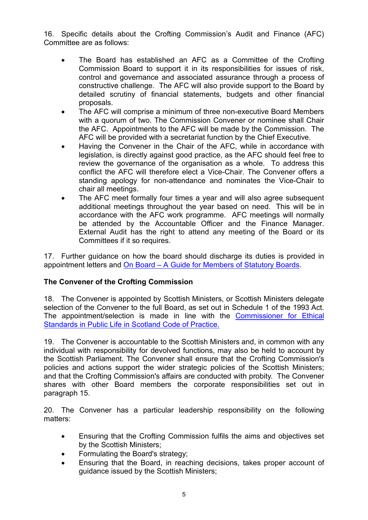16. Specific details about the Crofting Commission's Audit and Finance (AFC) Committee are as follows:

- The Board has established an AFC as a Committee of the Crofting Commission Board to support it in its responsibilities for issues of risk, control and governance and associated assurance through a process of constructive challenge. The AFC will also provide support to the Board by detailed scrutiny of financial statements, budgets and other financial proposals.
- The AFC will comprise a minimum of three non-executive Board Members with a quorum of two. The Commission Convener or nominee shall Chair the AFC. Appointments to the AFC will be made by the Commission. The AFC will be provided with a secretariat function by the Chief Executive.
- Having the Convener in the Chair of the AFC, while in accordance with legislation, is directly against good practice, as the AFC should feel free to review the governance of the organisation as a whole. To address this conflict the AFC will therefore elect a Vice-Chair. The Convener offers a standing apology for non-attendance and nominates the Vice-Chair to chair all meetings.
- The AFC meet formally four times a year and will also agree subsequent additional meetings throughout the year based on need. This will be in accordance with the AFC work programme. AFC meetings will normally be attended by the Accountable Officer and the Finance Manager. External Audit has the right to attend any meeting of the Board or its Committees if it so requires.

17. Further guidance on how the board should discharge its duties is provided in appointment letters and On Board – [A Guide for Members of Statutory Boards.](http://www.gov.scot/Resource/0051/00514817.pdf)

## **The Convener of the Crofting Commission**

18. The Convener is appointed by Scottish Ministers, or Scottish Ministers delegate selection of the Convener to the full Board, as set out in Schedule 1 of the 1993 Act. The appointment/selection is made in line with the Commissioner for Ethical [Standards in Public Life in Scotland](http://www.publicappointments.org/publications/publication/222/2013-code-of-practice-for-ministerial-appointments-to-public-bodies-in-scotland) Code of Practice.

19. The Convener is accountable to the Scottish Ministers and, in common with any individual with responsibility for devolved functions, may also be held to account by the Scottish Parliament. The Convener shall ensure that the Crofting Commission's policies and actions support the wider strategic policies of the Scottish Ministers; and that the Crofting Commission's affairs are conducted with probity. The Convener shares with other Board members the corporate responsibilities set out in paragraph 15.

20. The Convener has a particular leadership responsibility on the following matters:

- Ensuring that the Crofting Commission fulfils the aims and objectives set by the Scottish Ministers;
- Formulating the Board's strategy;
- Ensuring that the Board, in reaching decisions, takes proper account of guidance issued by the Scottish Ministers;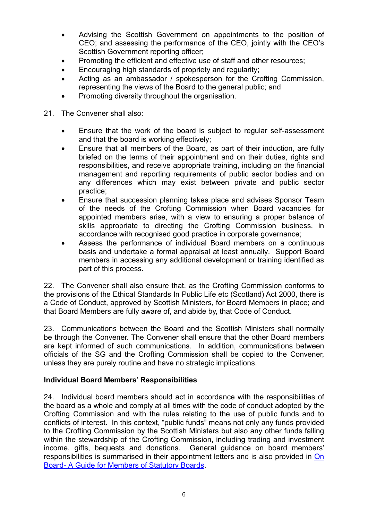- Advising the Scottish Government on appointments to the position of CEO; and assessing the performance of the CEO, jointly with the CEO's Scottish Government reporting officer:
- Promoting the efficient and effective use of staff and other resources;
- Encouraging high standards of propriety and regularity;
- Acting as an ambassador / spokesperson for the Crofting Commission. representing the views of the Board to the general public; and
- Promoting diversity throughout the organisation.
- 21. The Convener shall also:
	- Ensure that the work of the board is subject to regular self-assessment and that the board is working effectively;
	- Ensure that all members of the Board, as part of their induction, are fully briefed on the terms of their appointment and on their duties, rights and responsibilities, and receive appropriate training, including on the financial management and reporting requirements of public sector bodies and on any differences which may exist between private and public sector practice;
	- Ensure that succession planning takes place and advises Sponsor Team of the needs of the Crofting Commission when Board vacancies for appointed members arise, with a view to ensuring a proper balance of skills appropriate to directing the Crofting Commission business, in accordance with recognised good practice in corporate governance;
	- Assess the performance of individual Board members on a continuous basis and undertake a formal appraisal at least annually. Support Board members in accessing any additional development or training identified as part of this process.

22. The Convener shall also ensure that, as the Crofting Commission conforms to the provisions of the Ethical Standards In Public Life etc (Scotland) Act 2000, there is a Code of Conduct, approved by Scottish Ministers, for Board Members in place; and that Board Members are fully aware of, and abide by, that Code of Conduct.

23. Communications between the Board and the Scottish Ministers shall normally be through the Convener. The Convener shall ensure that the other Board members are kept informed of such communications. In addition, communications between officials of the SG and the Crofting Commission shall be copied to the Convener, unless they are purely routine and have no strategic implications.

## **Individual Board Members' Responsibilities**

24. Individual board members should act in accordance with the responsibilities of the board as a whole and comply at all times with the code of conduct adopted by the Crofting Commission and with the rules relating to the use of public funds and to conflicts of interest. In this context, "public funds" means not only any funds provided to the Crofting Commission by the Scottish Ministers but also any other funds falling within the stewardship of the Crofting Commission, including trading and investment income, gifts, bequests and donations. General guidance on board members' responsibilities is summarised in their appointment letters and is also provided in On Board- [A Guide for Members of Statutory Boards.](http://www.gov.scot/Publications/2017/03/9182)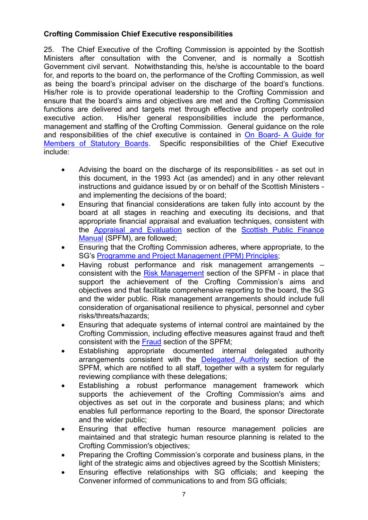# **Crofting Commission Chief Executive responsibilities**

25. The Chief Executive of the Crofting Commission is appointed by the Scottish Ministers after consultation with the Convener, and is normally a Scottish Government civil servant. Notwithstanding this, he/she is accountable to the board for, and reports to the board on, the performance of the Crofting Commission, as well as being the board's principal adviser on the discharge of the board's functions. His/her role is to provide operational leadership to the Crofting Commission and ensure that the board's aims and objectives are met and the Crofting Commission functions are delivered and targets met through effective and properly controlled executive action. His/her general responsibilities include the performance, management and staffing of the Crofting Commission. General guidance on the role and responsibilities of the chief executive is contained in On Board- [A Guide for](http://www.gov.scot/Publications/2017/03/9182)  [Members of Statutory Boards.](http://www.gov.scot/Publications/2017/03/9182) Specific responsibilities of the Chief Executive include:

- Advising the board on the discharge of its responsibilities as set out in this document, in the 1993 Act (as amended) and in any other relevant instructions and guidance issued by or on behalf of the Scottish Ministers and implementing the decisions of the board;
- Ensuring that financial considerations are taken fully into account by the board at all stages in reaching and executing its decisions, and that appropriate financial appraisal and evaluation techniques, consistent with the [Appraisal and Evaluation](http://www.scotland.gov.uk/Topics/Government/Finance/spfm/appraisal) section of the [Scottish Public Finance](http://www.scotland.gov.uk/Topics/Government/Finance/spfm/Intro)  [Manual](http://www.scotland.gov.uk/Topics/Government/Finance/spfm/Intro) (SPFM), are followed;
- Ensuring that the Crofting Commission adheres, where appropriate, to the SG's [Programme and Project Management \(PPM\) Principles;](http://www.scotland.gov.uk/Topics/Government/ProgrammeProjectDelivery/Principles)
- Having robust performance and risk management arrangements consistent with the [Risk Management](http://www.scotland.gov.uk/Topics/Government/Finance/spfm/risk) section of the SPFM - in place that support the achievement of the Crofting Commission's aims and objectives and that facilitate comprehensive reporting to the board, the SG and the wider public. Risk management arrangements should include full consideration of organisational resilience to physical, personnel and cyber risks/threats/hazards;
- Ensuring that adequate systems of internal control are maintained by the Crofting Commission, including effective measures against fraud and theft consistent with the [Fraud](http://www.scotland.gov.uk/Topics/Government/Finance/spfm/fraud) section of the SPFM;
- Establishing appropriate documented internal delegated authority arrangements consistent with the [Delegated Authority](http://www.scotland.gov.uk/Topics/Government/Finance/spfm/delegauth) section of the SPFM, which are notified to all staff, together with a system for regularly reviewing compliance with these delegations;
- Establishing a robust performance management framework which supports the achievement of the Crofting Commission's aims and objectives as set out in the corporate and business plans; and which enables full performance reporting to the Board, the sponsor Directorate and the wider public;
- Ensuring that effective human resource management policies are maintained and that strategic human resource planning is related to the Crofting Commission's objectives;
- Preparing the Crofting Commission's corporate and business plans, in the light of the strategic aims and objectives agreed by the Scottish Ministers;
- Ensuring effective relationships with SG officials; and keeping the Convener informed of communications to and from SG officials;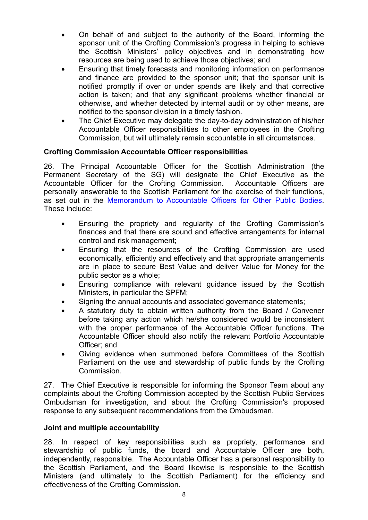- On behalf of and subject to the authority of the Board, informing the sponsor unit of the Crofting Commission's progress in helping to achieve the Scottish Ministers' policy objectives and in demonstrating how resources are being used to achieve those objectives; and
- Ensuring that timely forecasts and monitoring information on performance and finance are provided to the sponsor unit; that the sponsor unit is notified promptly if over or under spends are likely and that corrective action is taken; and that any significant problems whether financial or otherwise, and whether detected by internal audit or by other means, are notified to the sponsor division in a timely fashion.
- The Chief Executive may delegate the day-to-day administration of his/her Accountable Officer responsibilities to other employees in the Crofting Commission, but will ultimately remain accountable in all circumstances.

#### **Crofting Commission Accountable Officer responsibilities**

26. The Principal Accountable Officer for the Scottish Administration (the Permanent Secretary of the SG) will designate the Chief Executive as the Accountable Officer for the Crofting Commission. Accountable Officers are personally answerable to the Scottish Parliament for the exercise of their functions, as set out in the [Memorandum to Accountable Officers for Other Public Bodies.](http://www.scotland.gov.uk/Topics/Government/Finance/spfm/Accountability/aomemoother) These include:

- Ensuring the propriety and regularity of the Crofting Commission's finances and that there are sound and effective arrangements for internal control and risk management;
- Ensuring that the resources of the Crofting Commission are used economically, efficiently and effectively and that appropriate arrangements are in place to secure Best Value and deliver Value for Money for the public sector as a whole;
- Ensuring compliance with relevant guidance issued by the Scottish Ministers, in particular the SPFM;
- Signing the annual accounts and associated governance statements;
- A statutory duty to obtain written authority from the Board / Convener before taking any action which he/she considered would be inconsistent with the proper performance of the Accountable Officer functions. The Accountable Officer should also notify the relevant Portfolio Accountable Officer; and
- Giving evidence when summoned before Committees of the Scottish Parliament on the use and stewardship of public funds by the Crofting Commission.

27. The Chief Executive is responsible for informing the Sponsor Team about any complaints about the Crofting Commission accepted by the Scottish Public Services Ombudsman for investigation, and about the Crofting Commission's proposed response to any subsequent recommendations from the Ombudsman.

#### **Joint and multiple accountability**

28. In respect of key responsibilities such as propriety, performance and stewardship of public funds, the board and Accountable Officer are both, independently, responsible. The Accountable Officer has a personal responsibility to the Scottish Parliament, and the Board likewise is responsible to the Scottish Ministers (and ultimately to the Scottish Parliament) for the efficiency and effectiveness of the Crofting Commission.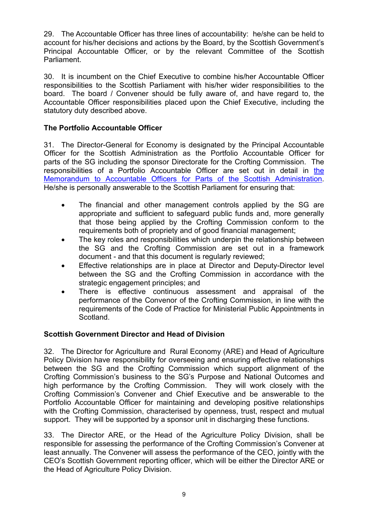29. The Accountable Officer has three lines of accountability: he/she can be held to account for his/her decisions and actions by the Board, by the Scottish Government's Principal Accountable Officer, or by the relevant Committee of the Scottish Parliament.

30. It is incumbent on the Chief Executive to combine his/her Accountable Officer responsibilities to the Scottish Parliament with his/her wider responsibilities to the board. The board / Convener should be fully aware of, and have regard to, the Accountable Officer responsibilities placed upon the Chief Executive, including the statutory duty described above.

# **The Portfolio Accountable Officer**

31. The Director-General for Economy is designated by the Principal Accountable Officer for the Scottish Administration as the Portfolio Accountable Officer for parts of the SG including the sponsor Directorate for the Crofting Commission. The responsibilities of a Portfolio Accountable Officer are set out in detail in [the](http://www.gov.scot/Topics/Government/Finance/spfm/Accountability/aomemo)  [Memorandum to Accountable Officers for Parts of the Scottish Administration.](http://www.gov.scot/Topics/Government/Finance/spfm/Accountability/aomemo) He/she is personally answerable to the Scottish Parliament for ensuring that:

- The financial and other management controls applied by the SG are appropriate and sufficient to safeguard public funds and, more generally that those being applied by the Crofting Commission conform to the requirements both of propriety and of good financial management;
- The key roles and responsibilities which underpin the relationship between the SG and the Crofting Commission are set out in a framework document - and that this document is regularly reviewed;
- Effective relationships are in place at Director and Deputy-Director level between the SG and the Crofting Commission in accordance with the strategic engagement principles; and
- There is effective continuous assessment and appraisal of the performance of the Convenor of the Crofting Commission, in line with the requirements of the Code of Practice for Ministerial Public Appointments in **Scotland**

# **Scottish Government Director and Head of Division**

32. The Director for Agriculture and Rural Economy (ARE) and Head of Agriculture Policy Division have responsibility for overseeing and ensuring effective relationships between the SG and the Crofting Commission which support alignment of the Crofting Commission's business to the SG's Purpose and National Outcomes and high performance by the Crofting Commission. They will work closely with the Crofting Commission's Convener and Chief Executive and be answerable to the Portfolio Accountable Officer for maintaining and developing positive relationships with the Crofting Commission, characterised by openness, trust, respect and mutual support. They will be supported by a sponsor unit in discharging these functions.

33. The Director ARE, or the Head of the Agriculture Policy Division, shall be responsible for assessing the performance of the Crofting Commission's Convener at least annually. The Convener will assess the performance of the CEO, jointly with the CEO's Scottish Government reporting officer, which will be either the Director ARE or the Head of Agriculture Policy Division.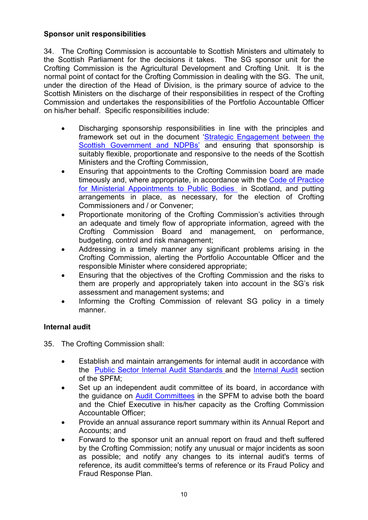# **Sponsor unit responsibilities**

34. The Crofting Commission is accountable to Scottish Ministers and ultimately to the Scottish Parliament for the decisions it takes. The SG sponsor unit for the Crofting Commission is the Agricultural Development and Crofting Unit. It is the normal point of contact for the Crofting Commission in dealing with the SG. The unit, under the direction of the Head of Division, is the primary source of advice to the Scottish Ministers on the discharge of their responsibilities in respect of the Crofting Commission and undertakes the responsibilities of the Portfolio Accountable Officer on his/her behalf. Specific responsibilities include:

- Discharging sponsorship responsibilities in line with the principles and framework set out in the document ['Strategic Engagement between the](http://www.gov.scot/Topics/Government/public-bodies/pubs/StrategicEngagement)  [Scottish Government and NDPBs'](http://www.gov.scot/Topics/Government/public-bodies/pubs/StrategicEngagement) and ensuring that sponsorship is suitably flexible, proportionate and responsive to the needs of the Scottish Ministers and the Crofting Commission,
- Ensuring that appointments to the Crofting Commission board are made timeously and, where appropriate, in accordance with the [Code of Practice](http://www.ethicalstandards.org.uk/site/uploads/publications/406ebe2cdaa457e47217d07aaa11f566.pdf)  [for Ministerial Appointments to Public Bodies](http://www.ethicalstandards.org.uk/site/uploads/publications/406ebe2cdaa457e47217d07aaa11f566.pdf) in Scotland, and putting arrangements in place, as necessary, for the election of Crofting Commissioners and / or Convener;
- Proportionate monitoring of the Crofting Commission's activities through an adequate and timely flow of appropriate information, agreed with the Crofting Commission Board and management, on performance, budgeting, control and risk management;
- Addressing in a timely manner any significant problems arising in the Crofting Commission, alerting the Portfolio Accountable Officer and the responsible Minister where considered appropriate;
- Ensuring that the objectives of the Crofting Commission and the risks to them are properly and appropriately taken into account in the SG's risk assessment and management systems; and
- Informing the Crofting Commission of relevant SG policy in a timely manner.

## **Internal audit**

35. The Crofting Commission shall:

- Establish and maintain arrangements for internal audit in accordance with the [Public Sector Internal Audit Standards](https://www.gov.uk/government/publications/public-sector-internal-audit-standards) and the [Internal Audit](http://www.scotland.gov.uk/Topics/Government/Finance/spfm/internaud) section of the SPFM;
- Set up an independent audit committee of its board, in accordance with the guidance on [Audit Committees](http://www.gov.scot/Topics/Government/Finance/spfm/auditcommittees) in the SPFM to advise both the board and the Chief Executive in his/her capacity as the Crofting Commission Accountable Officer;
- Provide an annual assurance report summary within its Annual Report and Accounts; and
- Forward to the sponsor unit an annual report on fraud and theft suffered by the Crofting Commission; notify any unusual or major incidents as soon as possible; and notify any changes to its internal audit's terms of reference, its audit committee's terms of reference or its Fraud Policy and Fraud Response Plan.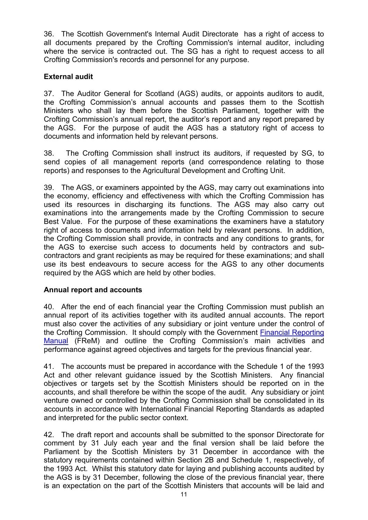36. The Scottish Government's Internal Audit Directorate has a right of access to all documents prepared by the Crofting Commission's internal auditor, including where the service is contracted out. The SG has a right to request access to all Crofting Commission's records and personnel for any purpose.

# **External audit**

37. The Auditor General for Scotland (AGS) audits, or appoints auditors to audit, the Crofting Commission's annual accounts and passes them to the Scottish Ministers who shall lay them before the Scottish Parliament, together with the Crofting Commission's annual report, the auditor's report and any report prepared by the AGS. For the purpose of audit the AGS has a statutory right of access to documents and information held by relevant persons.

38. The Crofting Commission shall instruct its auditors, if requested by SG, to send copies of all management reports (and correspondence relating to those reports) and responses to the Agricultural Development and Crofting Unit.

39. The AGS, or examiners appointed by the AGS, may carry out examinations into the economy, efficiency and effectiveness with which the Crofting Commission has used its resources in discharging its functions. The AGS may also carry out examinations into the arrangements made by the Crofting Commission to secure Best Value. For the purpose of these examinations the examiners have a statutory right of access to documents and information held by relevant persons. In addition, the Crofting Commission shall provide, in contracts and any conditions to grants, for the AGS to exercise such access to documents held by contractors and subcontractors and grant recipients as may be required for these examinations; and shall use its best endeavours to secure access for the AGS to any other documents required by the AGS which are held by other bodies.

## **Annual report and accounts**

40. After the end of each financial year the Crofting Commission must publish an annual report of its activities together with its audited annual accounts. The report must also cover the activities of any subsidiary or joint venture under the control of the Crofting Commission. It should comply with the Government [Financial Reporting](http://www.hm-treasury.gov.uk/frem_index.htm)  [Manual](http://www.hm-treasury.gov.uk/frem_index.htm) (FReM) and outline the Crofting Commission's main activities and performance against agreed objectives and targets for the previous financial year.

41. The accounts must be prepared in accordance with the Schedule 1 of the 1993 Act and other relevant guidance issued by the Scottish Ministers. Any financial objectives or targets set by the Scottish Ministers should be reported on in the accounts, and shall therefore be within the scope of the audit. Any subsidiary or joint venture owned or controlled by the Crofting Commission shall be consolidated in its accounts in accordance with International Financial Reporting Standards as adapted and interpreted for the public sector context.

42. The draft report and accounts shall be submitted to the sponsor Directorate for comment by 31 July each year and the final version shall be laid before the Parliament by the Scottish Ministers by 31 December in accordance with the statutory requirements contained within Section 2B and Schedule 1, respectively, of the 1993 Act. Whilst this statutory date for laying and publishing accounts audited by the AGS is by 31 December, following the close of the previous financial year, there is an expectation on the part of the Scottish Ministers that accounts will be laid and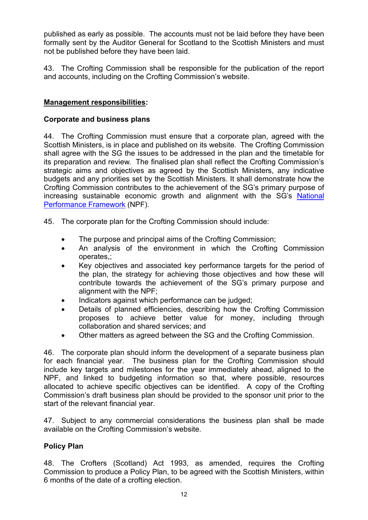published as early as possible. The accounts must not be laid before they have been formally sent by the Auditor General for Scotland to the Scottish Ministers and must not be published before they have been laid.

43. The Crofting Commission shall be responsible for the publication of the report and accounts, including on the Crofting Commission's website.

## **Management responsibilities:**

#### **Corporate and business plans**

44. The Crofting Commission must ensure that a corporate plan, agreed with the Scottish Ministers, is in place and published on its website. The Crofting Commission shall agree with the SG the issues to be addressed in the plan and the timetable for its preparation and review. The finalised plan shall reflect the Crofting Commission's strategic aims and objectives as agreed by the Scottish Ministers, any indicative budgets and any priorities set by the Scottish Ministers. It shall demonstrate how the Crofting Commission contributes to the achievement of the SG's primary purpose of increasing sustainable economic growth and alignment with the SG's [National](http://www.scotland.gov.uk/Publications/2007/11/13092240/9)  [Performance Framework](http://www.scotland.gov.uk/Publications/2007/11/13092240/9) (NPF).

45. The corporate plan for the Crofting Commission should include:

- The purpose and principal aims of the Crofting Commission;
- An analysis of the environment in which the Crofting Commission operates,;
- Key objectives and associated key performance targets for the period of the plan, the strategy for achieving those objectives and how these will contribute towards the achievement of the SG's primary purpose and alignment with the NPF;
- Indicators against which performance can be judged;
- Details of planned efficiencies, describing how the Crofting Commission proposes to achieve better value for money, including through collaboration and shared services; and
- Other matters as agreed between the SG and the Crofting Commission.

46. The corporate plan should inform the development of a separate business plan for each financial year. The business plan for the Crofting Commission should include key targets and milestones for the year immediately ahead, aligned to the NPF, and linked to budgeting information so that, where possible, resources allocated to achieve specific objectives can be identified. A copy of the Crofting Commission's draft business plan should be provided to the sponsor unit prior to the start of the relevant financial year.

47. Subject to any commercial considerations the business plan shall be made available on the Crofting Commission's website.

## **Policy Plan**

48. The Crofters (Scotland) Act 1993, as amended, requires the Crofting Commission to produce a Policy Plan, to be agreed with the Scottish Ministers, within 6 months of the date of a crofting election.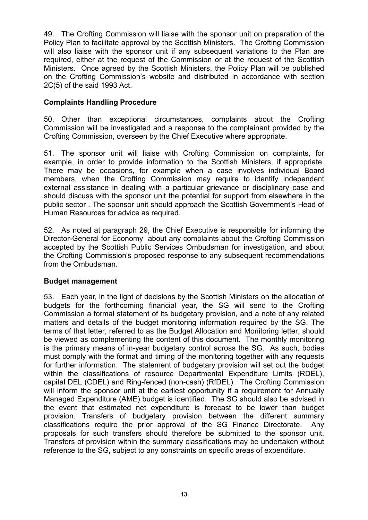49. The Crofting Commission will liaise with the sponsor unit on preparation of the Policy Plan to facilitate approval by the Scottish Ministers. The Crofting Commission will also liaise with the sponsor unit if any subsequent variations to the Plan are required, either at the request of the Commission or at the request of the Scottish Ministers. Once agreed by the Scottish Ministers, the Policy Plan will be published on the Crofting Commission's website and distributed in accordance with section 2C(5) of the said 1993 Act.

#### **Complaints Handling Procedure**

50. Other than exceptional circumstances, complaints about the Crofting Commission will be investigated and a response to the complainant provided by the Crofting Commission, overseen by the Chief Executive where appropriate.

51. The sponsor unit will liaise with Crofting Commission on complaints, for example, in order to provide information to the Scottish Ministers, if appropriate. There may be occasions, for example when a case involves individual Board members, when the Crofting Commission may require to identify independent external assistance in dealing with a particular grievance or disciplinary case and should discuss with the sponsor unit the potential for support from elsewhere in the public sector . The sponsor unit should approach the Scottish Government's Head of Human Resources for advice as required.

52. As noted at paragraph 29, the Chief Executive is responsible for informing the Director-General for Economy about any complaints about the Crofting Commission accepted by the Scottish Public Services Ombudsman for investigation, and about the Crofting Commission's proposed response to any subsequent recommendations from the Ombudsman.

#### **Budget management**

53. Each year, in the light of decisions by the Scottish Ministers on the allocation of budgets for the forthcoming financial year, the SG will send to the Crofting Commission a formal statement of its budgetary provision, and a note of any related matters and details of the budget monitoring information required by the SG. The terms of that letter, referred to as the Budget Allocation and Monitoring letter, should be viewed as complementing the content of this document. The monthly monitoring is the primary means of in-year budgetary control across the SG. As such, bodies must comply with the format and timing of the monitoring together with any requests for further information. The statement of budgetary provision will set out the budget within the classifications of resource Departmental Expenditure Limits (RDEL), capital DEL (CDEL) and Ring-fenced (non-cash) (RfDEL). The Crofting Commission will inform the sponsor unit at the earliest opportunity if a requirement for Annually Managed Expenditure (AME) budget is identified. The SG should also be advised in the event that estimated net expenditure is forecast to be lower than budget provision. Transfers of budgetary provision between the different summary classifications require the prior approval of the SG Finance Directorate. Any proposals for such transfers should therefore be submitted to the sponsor unit. Transfers of provision within the summary classifications may be undertaken without reference to the SG, subject to any constraints on specific areas of expenditure.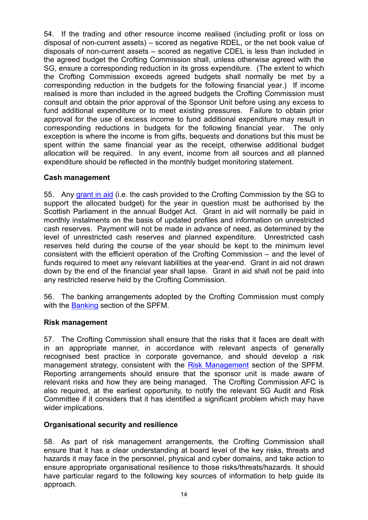54. If the trading and other resource income realised (including profit or loss on disposal of non-current assets) – scored as negative RDEL, or the net book value of disposals of non-current assets – scored as negative CDEL is less than included in the agreed budget the Crofting Commission shall, unless otherwise agreed with the SG, ensure a corresponding reduction in its gross expenditure. (The extent to which the Crofting Commission exceeds agreed budgets shall normally be met by a corresponding reduction in the budgets for the following financial year.) If income realised is more than included in the agreed budgets the Crofting Commission must consult and obtain the prior approval of the Sponsor Unit before using any excess to fund additional expenditure or to meet existing pressures. Failure to obtain prior approval for the use of excess income to fund additional expenditure may result in corresponding reductions in budgets for the following financial year. The only exception is where the income is from gifts, bequests and donations but this must be spent within the same financial year as the receipt, otherwise additional budget allocation will be required. In any event, income from all sources and all planned expenditure should be reflected in the monthly budget monitoring statement.

#### **Cash management**

55. Any [grant](http://www.scotland.gov.uk/Topics/Government/Finance/spfm/grants) in aid (i.e. the cash provided to the Crofting Commission by the SG to support the allocated budget) for the year in question must be authorised by the Scottish Parliament in the annual Budget Act. Grant in aid will normally be paid in monthly instalments on the basis of updated profiles and information on unrestricted cash reserves. Payment will not be made in advance of need, as determined by the level of unrestricted cash reserves and planned expenditure. Unrestricted cash reserves held during the course of the year should be kept to the minimum level consistent with the efficient operation of the Crofting Commission – and the level of funds required to meet any relevant liabilities at the year-end. Grant in aid not drawn down by the end of the financial year shall lapse. Grant in aid shall not be paid into any restricted reserve held by the Crofting Commission.

56. The banking arrangements adopted by the Crofting Commission must comply with the [Banking](http://www.scotland.gov.uk/Topics/Government/Finance/spfm/banking) section of the SPFM.

## **Risk management**

57. The Crofting Commission shall ensure that the risks that it faces are dealt with in an appropriate manner, in accordance with relevant aspects of generally recognised best practice in corporate governance, and should develop a risk management strategy, consistent with the [Risk Management](http://www.scotland.gov.uk/Topics/Government/Finance/spfm/risk) section of the SPFM. Reporting arrangements should ensure that the sponsor unit is made aware of relevant risks and how they are being managed. The Crofting Commission AFC is also required, at the earliest opportunity, to notify the relevant SG Audit and Risk Committee if it considers that it has identified a significant problem which may have wider implications.

## **Organisational security and resilience**

58. As part of risk management arrangements, the Crofting Commission shall ensure that it has a clear understanding at board level of the key risks, threats and hazards it may face in the personnel, physical and cyber domains, and take action to ensure appropriate organisational resilience to those risks/threats/hazards. It should have particular regard to the following key sources of information to help guide its approach.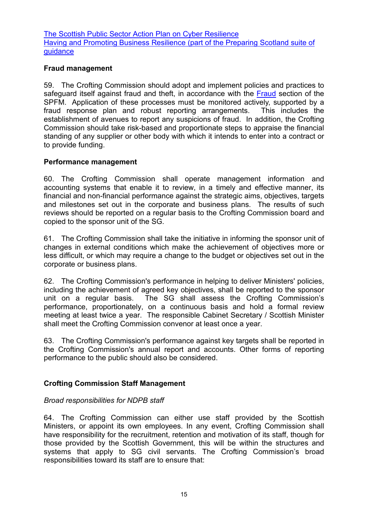[The Scottish Public Sector Action Plan on Cyber Resilience](https://beta.gov.scot/publications/cyber-resilience-strategy-scotland-public-sector-action-plan-2017-18/) [Having and Promoting Business Resilience \(part of the Preparing Scotland suite of](http://www.gov.scot/Publications/2013/12/8006/downloads)  [guidance](http://www.gov.scot/Publications/2013/12/8006/downloads)

#### **Fraud management**

59. The Crofting Commission should adopt and implement policies and practices to safeguard itself against fraud and theft, in accordance with the [Fraud](http://www.scotland.gov.uk/Topics/Government/Finance/spfm/fraud) section of the SPFM. Application of these processes must be monitored actively, supported by a fraud response plan and robust reporting arrangements. This includes the fraud response plan and robust reporting arrangements. establishment of avenues to report any suspicions of fraud. In addition, the Crofting Commission should take risk-based and proportionate steps to appraise the financial standing of any supplier or other body with which it intends to enter into a contract or to provide funding.

## **Performance management**

60. The Crofting Commission shall operate management information and accounting systems that enable it to review, in a timely and effective manner, its financial and non-financial performance against the strategic aims, objectives, targets and milestones set out in the corporate and business plans. The results of such reviews should be reported on a regular basis to the Crofting Commission board and copied to the sponsor unit of the SG.

61. The Crofting Commission shall take the initiative in informing the sponsor unit of changes in external conditions which make the achievement of objectives more or less difficult, or which may require a change to the budget or objectives set out in the corporate or business plans.

62. The Crofting Commission's performance in helping to deliver Ministers' policies, including the achievement of agreed key objectives, shall be reported to the sponsor unit on a regular basis. The SG shall assess the Crofting Commission's performance, proportionately, on a continuous basis and hold a formal review meeting at least twice a year. The responsible Cabinet Secretary / Scottish Minister shall meet the Crofting Commission convenor at least once a year.

63. The Crofting Commission's performance against key targets shall be reported in the Crofting Commission's annual report and accounts. Other forms of reporting performance to the public should also be considered.

## **Crofting Commission Staff Management**

#### *Broad responsibilities for NDPB staff*

64. The Crofting Commission can either use staff provided by the Scottish Ministers, or appoint its own employees. In any event, Crofting Commission shall have responsibility for the recruitment, retention and motivation of its staff, though for those provided by the Scottish Government, this will be within the structures and systems that apply to SG civil servants. The Crofting Commission's broad responsibilities toward its staff are to ensure that: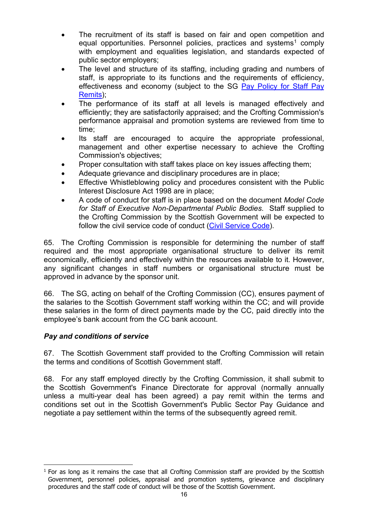- The recruitment of its staff is based on fair and open competition and equal opportunities. Personnel policies, practices and systems<sup>[1](#page-15-0)</sup> comply with employment and equalities legislation, and standards expected of public sector employers;
- The level and structure of its staffing, including grading and numbers of staff, is appropriate to its functions and the requirements of efficiency, effectiveness and economy (subject to the SG [Pay Policy for Staff Pay](http://www.gov.scot/Topics/Government/public-sector-pay/staff-pay)  [Remits\)](http://www.gov.scot/Topics/Government/public-sector-pay/staff-pay);
- The performance of its staff at all levels is managed effectively and efficiently; they are satisfactorily appraised; and the Crofting Commission's performance appraisal and promotion systems are reviewed from time to time;
- Its staff are encouraged to acquire the appropriate professional, management and other expertise necessary to achieve the Crofting Commission's objectives;
- Proper consultation with staff takes place on key issues affecting them;
- Adequate grievance and disciplinary procedures are in place;
- Effective Whistleblowing policy and procedures consistent with the Public Interest Disclosure Act 1998 are in place;
- A code of conduct for staff is in place based on the document *Model Code for Staff of Executive Non-Departmental Public Bodies*. Staff supplied to the Crofting Commission by the Scottish Government will be expected to follow the civil service code of conduct [\(Civil Service Code\)](http://saltire/my-workplace/conduct-and-discipline/standards-of-conduct/Pages/civil-service-code.aspx).

65. The Crofting Commission is responsible for determining the number of staff required and the most appropriate organisational structure to deliver its remit economically, efficiently and effectively within the resources available to it. However, any significant changes in staff numbers or organisational structure must be approved in advance by the sponsor unit.

66. The SG, acting on behalf of the Crofting Commission (CC), ensures payment of the salaries to the Scottish Government staff working within the CC; and will provide these salaries in the form of direct payments made by the CC, paid directly into the employee's bank account from the CC bank account.

# *Pay and conditions of service*

67. The Scottish Government staff provided to the Crofting Commission will retain the terms and conditions of Scottish Government staff.

68. For any staff employed directly by the Crofting Commission, it shall submit to the Scottish Government's Finance Directorate for approval (normally annually unless a multi-year deal has been agreed) a pay remit within the terms and conditions set out in the Scottish Government's Public Sector Pay Guidance and negotiate a pay settlement within the terms of the subsequently agreed remit.

<span id="page-15-0"></span> $<sup>1</sup>$  For as long as it remains the case that all Crofting Commission staff are provided by the Scottish</sup> Government, personnel policies, appraisal and promotion systems, grievance and disciplinary procedures and the staff code of conduct will be those of the Scottish Government.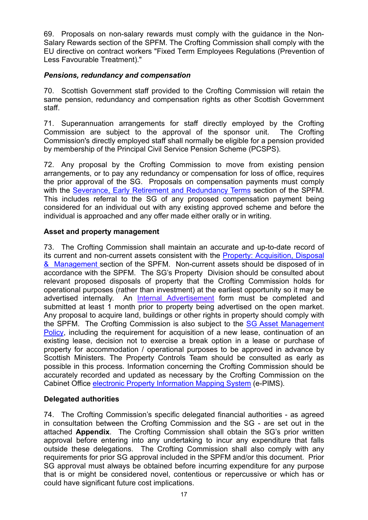69. Proposals on non-salary rewards must comply with the guidance in the Non-Salary Rewards section of the SPFM. The Crofting Commission shall comply with the EU directive on contract workers "Fixed Term Employees Regulations (Prevention of Less Favourable Treatment)."

# *Pensions, redundancy and compensation*

70. Scottish Government staff provided to the Crofting Commission will retain the same pension, redundancy and compensation rights as other Scottish Government staff.

71. Superannuation arrangements for staff directly employed by the Crofting Commission are subject to the approval of the sponsor unit. The Crofting Commission's directly employed staff shall normally be eligible for a pension provided by membership of the Principal Civil Service Pension Scheme (PCSPS).

72. Any proposal by the Crofting Commission to move from existing pension arrangements, or to pay any redundancy or compensation for loss of office, requires the prior approval of the SG. Proposals on compensation payments must comply with the [Severance, Early Retirement and Redundancy Terms](http://www.scotland.gov.uk/Topics/Government/Finance/spfm/severanceetcterms) section of the SPFM. This includes referral to the SG of any proposed compensation payment being considered for an individual out with any existing approved scheme and before the individual is approached and any offer made either orally or in writing.

# **Asset and property management**

73. The Crofting Commission shall maintain an accurate and up-to-date record of its current and non-current assets consistent with the Property: Acquisition, Disposal [& Management](http://www.scotland.gov.uk/Topics/Government/Finance/spfm/PropertyManagement) section of the SPFM. Non-current assets should be disposed of in accordance with the SPFM. The SG's Property Division should be consulted about relevant proposed disposals of property that the Crofting Commission holds for operational purposes (rather than investment) at the earliest opportunity so it may be advertised internally. An [Internal Advertisement](http://www.scotland.gov.uk/Topics/Government/Finance/spfm/PropertyManagement/InternalAdvertisement) form must be completed and submitted at least 1 month prior to property being advertised on the open market. Any proposal to acquire land, buildings or other rights in property should comply with the SPFM. The Crofting Commission is also subject to the [SG Asset Management](http://www.scotland.gov.uk/Publications/2009/02/26142659/1)  [Policy,](http://www.scotland.gov.uk/Publications/2009/02/26142659/1) including the requirement for acquisition of a new lease, continuation of an existing lease, decision not to exercise a break option in a lease or purchase of property for accommodation / operational purposes to be approved in advance by Scottish Ministers. The Property Controls Team should be consulted as early as possible in this process. Information concerning the Crofting Commission should be accurately recorded and updated as necessary by the Crofting Commission on the Cabinet Office [electronic Property Information Mapping System](http://www.ogc.gov.uk/electronic_property_information_mapping_service.asp) (e-PIMS).

# **Delegated authorities**

74. The Crofting Commission's specific delegated financial authorities - as agreed in consultation between the Crofting Commission and the SG - are set out in the attached **Appendix**. The Crofting Commission shall obtain the SG's prior written approval before entering into any undertaking to incur any expenditure that falls outside these delegations. The Crofting Commission shall also comply with any requirements for prior SG approval included in the SPFM and/or this document. Prior SG approval must always be obtained before incurring expenditure for any purpose that is or might be considered novel, contentious or repercussive or which has or could have significant future cost implications.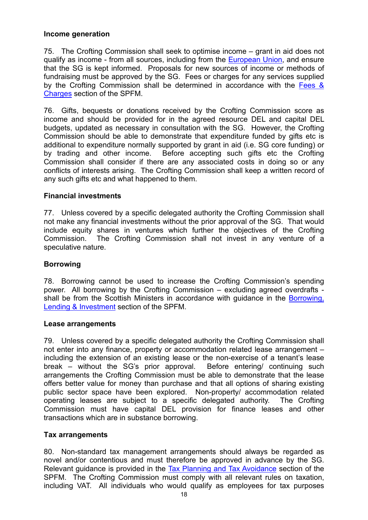#### **Income generation**

75. The Crofting Commission shall seek to optimise income – grant in aid does not qualify as income - from all sources, including from the [European Union,](http://www.scotland.gov.uk/Topics/Government/Finance/spfm/eufunding#a9) and ensure that the SG is kept informed. Proposals for new sources of income or methods of fundraising must be approved by the SG. Fees or charges for any services supplied by the Crofting Commission shall be determined in accordance with the [Fees &](http://www.scotland.gov.uk/Topics/Government/Finance/spfm/feescharges)  [Charges](http://www.scotland.gov.uk/Topics/Government/Finance/spfm/feescharges) section of the SPFM.

76. Gifts, bequests or donations received by the Crofting Commission score as income and should be provided for in the agreed resource DEL and capital DEL budgets, updated as necessary in consultation with the SG. However, the Crofting Commission should be able to demonstrate that expenditure funded by gifts etc is additional to expenditure normally supported by grant in aid (i.e. SG core funding) or by trading and other income. Before accepting such gifts etc the Crofting Commission shall consider if there are any associated costs in doing so or any conflicts of interests arising. The Crofting Commission shall keep a written record of any such gifts etc and what happened to them.

#### **Financial investments**

77. Unless covered by a specific delegated authority the Crofting Commission shall not make any financial investments without the prior approval of the SG. That would include equity shares in ventures which further the objectives of the Crofting Commission. The Crofting Commission shall not invest in any venture of a speculative nature.

## **Borrowing**

78. Borrowing cannot be used to increase the Crofting Commission's spending power. All borrowing by the Crofting Commission – excluding agreed overdrafts shall be from the Scottish Ministers in accordance with guidance in the Borrowing, [Lending & Investment](http://www.scotland.gov.uk/Topics/Government/Finance/spfm/borrowingetc) section of the SPFM.

#### **Lease arrangements**

79. Unless covered by a specific delegated authority the Crofting Commission shall not enter into any finance, property or accommodation related lease arrangement – including the extension of an existing lease or the non-exercise of a tenant's lease break – without the SG's prior approval. Before entering/ continuing such arrangements the Crofting Commission must be able to demonstrate that the lease offers better value for money than purchase and that all options of sharing existing public sector space have been explored. Non-property/ accommodation related operating leases are subject to a specific delegated authority. The Crofting Commission must have capital DEL provision for finance leases and other transactions which are in substance borrowing.

## **Tax arrangements**

80. Non-standard tax management arrangements should always be regarded as novel and/or contentious and must therefore be approved in advance by the SG. Relevant guidance is provided in the [Tax Planning and Tax Avoidance](http://www.scotland.gov.uk/Topics/Government/Finance/spfm/taxavoidance) section of the SPFM. The Crofting Commission must comply with all relevant rules on taxation, including VAT. All individuals who would qualify as employees for tax purposes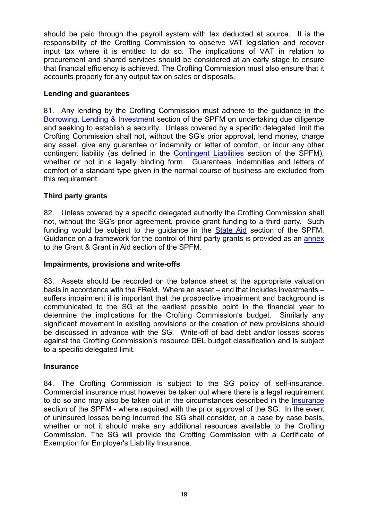should be paid through the payroll system with tax deducted at source. It is the responsibility of the Crofting Commission to observe VAT legislation and recover input tax where it is entitled to do so. The implications of VAT in relation to procurement and shared services should be considered at an early stage to ensure that financial efficiency is achieved. The Crofting Commission must also ensure that it accounts properly for any output tax on sales or disposals.

# **Lending and guarantees**

81. Any lending by the Crofting Commission must adhere to the guidance in the [Borrowing, Lending & Investment](http://www.scotland.gov.uk/Topics/Government/Finance/spfm/borrowingetc) section of the SPFM on undertaking due diligence and seeking to establish a security. Unless covered by a specific delegated limit the Crofting Commission shall not, without the SG's prior approval, lend money, charge any asset, give any guarantee or indemnity or letter of comfort, or incur any other contingent liability (as defined in the [Contingent Liabilities](http://www.scotland.gov.uk/Topics/Government/Finance/spfm/contingentliabs) section of the SPFM), whether or not in a legally binding form. Guarantees, indemnities and letters of comfort of a standard type given in the normal course of business are excluded from this requirement.

# **Third party grants**

82. Unless covered by a specific delegated authority the Crofting Commission shall not, without the SG's prior agreement, provide grant funding to a third party. Such funding would be subject to the guidance in the [State Aid](http://www.scotland.gov.uk/Topics/Government/Finance/spfm/stateaidrules) section of the SPFM. Guidance on a framework for the control of third party grants is provided as an [annex](http://www.scotland.gov.uk/Topics/Government/Finance/spfm/grantsannex#top) to the Grant & Grant in Aid section of the SPFM.

#### **Impairments, provisions and write-offs**

83. Assets should be recorded on the balance sheet at the appropriate valuation basis in accordance with the FReM. Where an asset – and that includes investments – suffers impairment it is important that the prospective impairment and background is communicated to the SG at the earliest possible point in the financial year to determine the implications for the Crofting Commission's budget. Similarly any significant movement in existing provisions or the creation of new provisions should be discussed in advance with the SG. Write-off of bad debt and/or losses scores against the Crofting Commission's resource DEL budget classification and is subject to a specific delegated limit.

#### **Insurance**

84. The Crofting Commission is subject to the SG policy of self-insurance. Commercial insurance must however be taken out where there is a legal requirement to do so and may also be taken out in the circumstances described in the [Insurance](http://www.scotland.gov.uk/Topics/Government/Finance/spfm/insurance) section of the SPFM - where required with the prior approval of the SG. In the event of uninsured losses being incurred the SG shall consider, on a case by case basis, whether or not it should make any additional resources available to the Crofting Commission. The SG will provide the Crofting Commission with a Certificate of Exemption for Employer's Liability Insurance.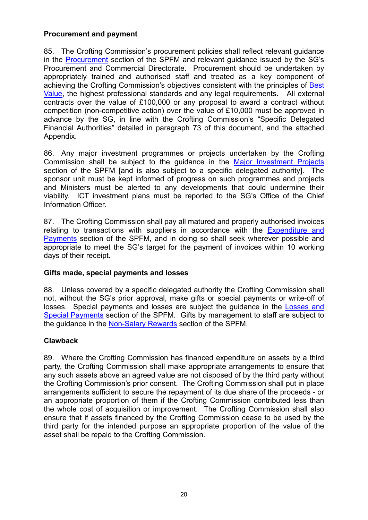#### **Procurement and payment**

85. The Crofting Commission's procurement policies shall reflect relevant guidance in the [Procurement](http://www.scotland.gov.uk/Topics/Government/Finance/spfm/procure) section of the SPFM and relevant guidance issued by the SG's Procurement and Commercial Directorate. Procurement should be undertaken by appropriately trained and authorised staff and treated as a key component of achieving the Crofting Commission's objectives consistent with the principles of [Best](http://www.scotland.gov.uk/Topics/Government/Finance/spfm/BestValue)  [Value,](http://www.scotland.gov.uk/Topics/Government/Finance/spfm/BestValue) the highest professional standards and any legal requirements. All external contracts over the value of £100,000 or any proposal to award a contract without competition (non-competitive action) over the value of £10,000 must be approved in advance by the SG, in line with the Crofting Commission's "Specific Delegated Financial Authorities" detailed in paragraph 73 of this document, and the attached Appendix.

86. Any major investment programmes or projects undertaken by the Crofting Commission shall be subject to the guidance in the [Major Investment Projects](http://www.scotland.gov.uk/Topics/Government/Finance/spfm/majinvest) section of the SPFM [and is also subject to a specific delegated authority]. The sponsor unit must be kept informed of progress on such programmes and projects and Ministers must be alerted to any developments that could undermine their viability. ICT investment plans must be reported to the SG's Office of the Chief Information Officer.

87. The Crofting Commission shall pay all matured and properly authorised invoices relating to transactions with suppliers in accordance with the [Expenditure and](http://www.scotland.gov.uk/Topics/Government/Finance/spfm/payments)  [Payments](http://www.scotland.gov.uk/Topics/Government/Finance/spfm/payments) section of the SPFM, and in doing so shall seek wherever possible and appropriate to meet the SG's target for the payment of invoices within 10 working days of their receipt.

## **Gifts made, special payments and losses**

88. Unless covered by a specific delegated authority the Crofting Commission shall not, without the SG's prior approval, make gifts or special payments or write-off of losses. Special payments and losses are subject the guidance in the **Losses and** [Special Payments](http://www.scotland.gov.uk/Topics/Government/Finance/spfm/lossesetc) section of the SPFM. Gifts by management to staff are subject to the guidance in the [Non-Salary Rewards](http://www.scotland.gov.uk/Topics/Government/Finance/spfm/nonsalrewards) section of the SPFM.

## **Clawback**

89. Where the Crofting Commission has financed expenditure on assets by a third party, the Crofting Commission shall make appropriate arrangements to ensure that any such assets above an agreed value are not disposed of by the third party without the Crofting Commission's prior consent. The Crofting Commission shall put in place arrangements sufficient to secure the repayment of its due share of the proceeds - or an appropriate proportion of them if the Crofting Commission contributed less than the whole cost of acquisition or improvement. The Crofting Commission shall also ensure that if assets financed by the Crofting Commission cease to be used by the third party for the intended purpose an appropriate proportion of the value of the asset shall be repaid to the Crofting Commission.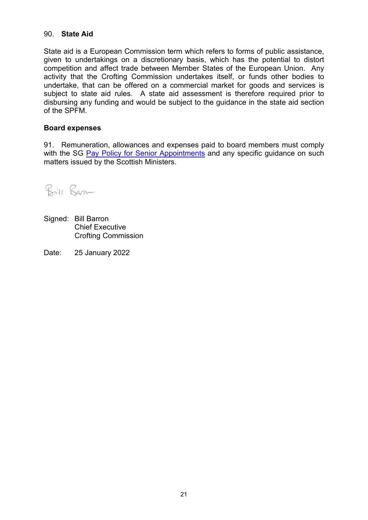#### 90. **State Aid**

State aid is a European Commission term which refers to forms of public assistance, given to undertakings on a discretionary basis, which has the potential to distort competition and affect trade between Member States of the European Union. Any activity that the Crofting Commission undertakes itself, or funds other bodies to undertake, that can be offered on a commercial market for goods and services is subject to state aid rules. A state aid assessment is therefore required prior to disbursing any funding and would be subject to the guidance in the state aid section of the SPFM.

#### **Board expenses**

91. Remuneration, allowances and expenses paid to board members must comply with the SG [Pay Policy for Senior Appointments](http://www.gov.scot/Topics/Government/public-sector-pay/senior-appointment-pay) and any specific quidance on such matters issued by the Scottish Ministers.

Bill Barn

- Signed: Bill Barron Chief Executive Crofting Commission
- Date: 25 January 2022